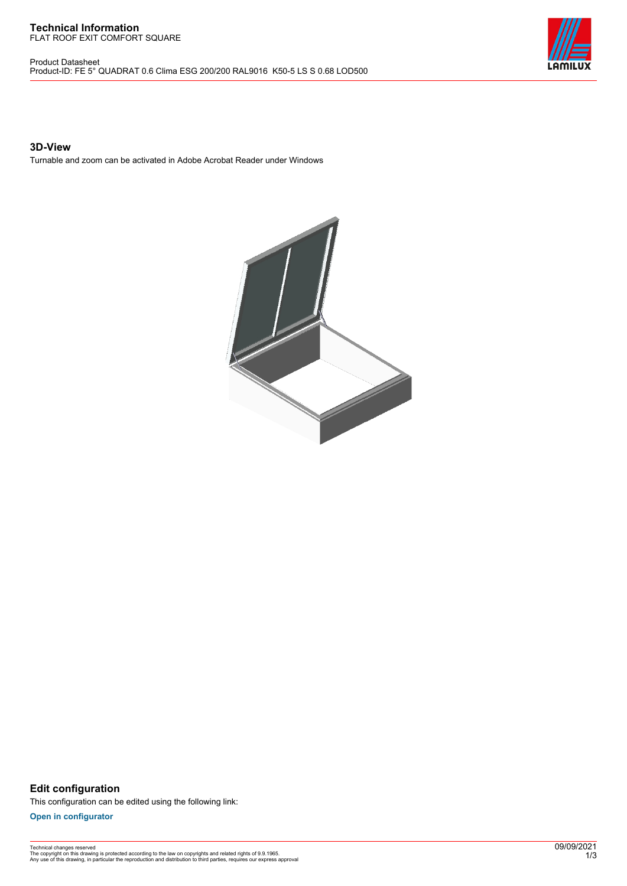#### **Technical Information** FLAT ROOF EXIT COMFORT SQUARE

Product Datasheet Product-ID: FE 5° QUADRAT 0.6 Clima ESG 200/200 RAL9016 K50-5 LS S 0.68 LOD500



# **3D-View**

Turnable and zoom can be activated in Adobe Acrobat Reader under Windows



**Edit configuration** This configuration can be edited using the following link:

**[Open in configurator](https://bimconfig.lamilux.com//?quickcode=FDZGBN)**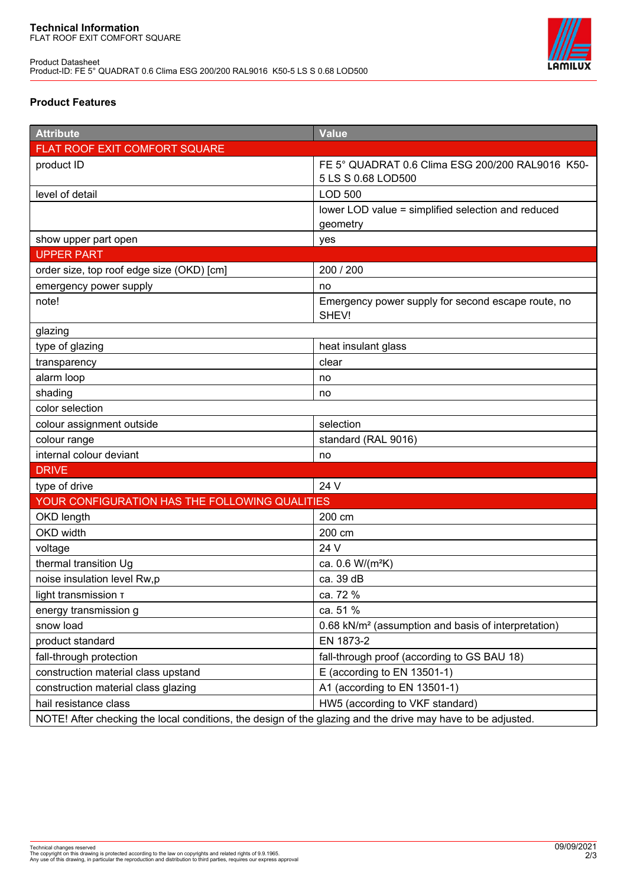

# **Product Features**

| <b>Attribute</b>                                                                                            | <b>Value</b>                                                    |
|-------------------------------------------------------------------------------------------------------------|-----------------------------------------------------------------|
| FLAT ROOF EXIT COMFORT SQUARE                                                                               |                                                                 |
| product ID                                                                                                  | FE 5° QUADRAT 0.6 Clima ESG 200/200 RAL9016 K50-                |
|                                                                                                             | 5 LS S 0.68 LOD500                                              |
| level of detail                                                                                             | <b>LOD 500</b>                                                  |
|                                                                                                             | lower LOD value = simplified selection and reduced              |
|                                                                                                             | geometry                                                        |
| show upper part open                                                                                        | yes                                                             |
| <b>UPPER PART</b>                                                                                           |                                                                 |
| order size, top roof edge size (OKD) [cm]                                                                   | 200 / 200                                                       |
| emergency power supply                                                                                      | no                                                              |
| note!                                                                                                       | Emergency power supply for second escape route, no<br>SHEV!     |
| glazing                                                                                                     |                                                                 |
| type of glazing                                                                                             | heat insulant glass                                             |
| transparency                                                                                                | clear                                                           |
| alarm loop                                                                                                  | no                                                              |
| shading                                                                                                     | no                                                              |
| color selection                                                                                             |                                                                 |
| colour assignment outside                                                                                   | selection                                                       |
| colour range                                                                                                | standard (RAL 9016)                                             |
| internal colour deviant                                                                                     | no                                                              |
| <b>DRIVE</b>                                                                                                |                                                                 |
| type of drive                                                                                               | 24 V                                                            |
| YOUR CONFIGURATION HAS THE FOLLOWING QUALITIES                                                              |                                                                 |
| OKD length                                                                                                  | 200 cm                                                          |
| OKD width                                                                                                   | 200 cm                                                          |
| voltage                                                                                                     | 24 V                                                            |
| thermal transition Ug                                                                                       | ca. 0.6 W/(m <sup>2</sup> K)                                    |
| noise insulation level Rw,p                                                                                 | ca. 39 dB                                                       |
| light transmission T                                                                                        | ca. 72 %                                                        |
| energy transmission g                                                                                       | ca. 51 %                                                        |
| snow load                                                                                                   | 0.68 kN/m <sup>2</sup> (assumption and basis of interpretation) |
| product standard                                                                                            | EN 1873-2                                                       |
| fall-through protection                                                                                     | fall-through proof (according to GS BAU 18)                     |
| construction material class upstand                                                                         | E (according to EN 13501-1)                                     |
| construction material class glazing                                                                         | A1 (according to EN 13501-1)                                    |
| hail resistance class                                                                                       | HW5 (according to VKF standard)                                 |
| NOTE! After checking the local conditions, the design of the glazing and the drive may have to be adjusted. |                                                                 |